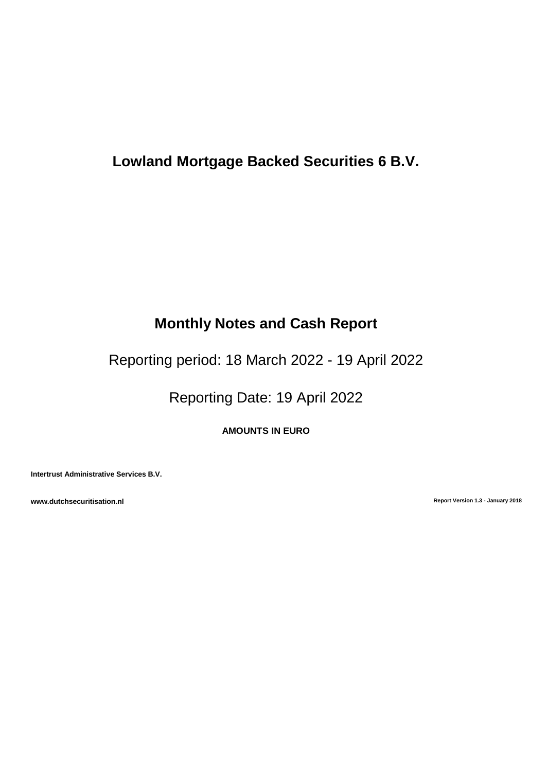# **Lowland Mortgage Backed Securities 6 B.V.**

# **Monthly Notes and Cash Report**

Reporting period: 18 March 2022 - 19 April 2022

Reporting Date: 19 April 2022

**AMOUNTS IN EURO**

**Intertrust Administrative Services B.V.**

**www.dutchsecuritisation.nl Report Version 1.3 - January 2018**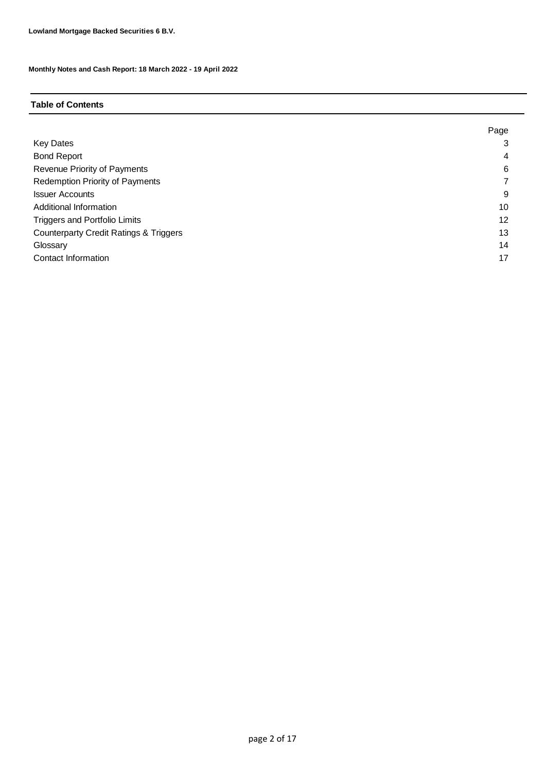### **Table of Contents**

|                                                   | Page |
|---------------------------------------------------|------|
| <b>Key Dates</b>                                  | 3    |
| <b>Bond Report</b>                                | 4    |
| Revenue Priority of Payments                      | 6    |
| <b>Redemption Priority of Payments</b>            |      |
| <b>Issuer Accounts</b>                            | 9    |
| Additional Information                            | 10   |
| <b>Triggers and Portfolio Limits</b>              | 12   |
| <b>Counterparty Credit Ratings &amp; Triggers</b> | 13   |
| Glossary                                          | 14   |
| Contact Information                               | 17   |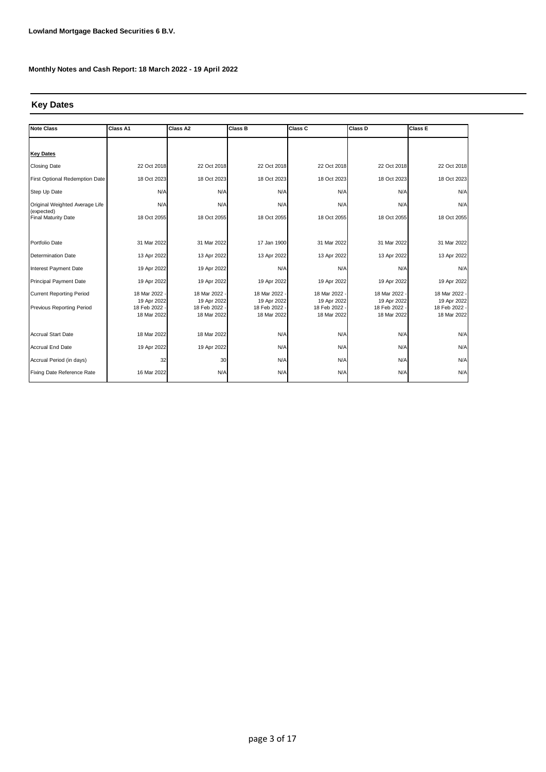#### **Key Dates**

| Note Class                               | Class A1                   | Class A2                   | <b>Class B</b>             | Class C                    | Class D                    | <b>Class E</b>               |
|------------------------------------------|----------------------------|----------------------------|----------------------------|----------------------------|----------------------------|------------------------------|
|                                          |                            |                            |                            |                            |                            |                              |
| <b>Key Dates</b>                         |                            |                            |                            |                            |                            |                              |
| <b>Closing Date</b>                      | 22 Oct 2018                | 22 Oct 2018                | 22 Oct 2018                | 22 Oct 2018                | 22 Oct 2018                | 22 Oct 2018                  |
| First Optional Redemption Date           | 18 Oct 2023                | 18 Oct 2023                | 18 Oct 2023                | 18 Oct 2023                | 18 Oct 2023                | 18 Oct 2023                  |
| Step Up Date                             | N/A                        | N/A                        | N/A                        | N/A                        | N/A                        | N/A                          |
| Original Weighted Average Life           | N/A                        | N/A                        | N/A                        | N/A                        | N/A                        | N/A                          |
| (expected)<br><b>Final Maturity Date</b> | 18 Oct 2055                | 18 Oct 2055                | 18 Oct 2055                | 18 Oct 2055                | 18 Oct 2055                | 18 Oct 2055                  |
|                                          |                            |                            |                            |                            |                            |                              |
| Portfolio Date                           | 31 Mar 2022                | 31 Mar 2022                | 17 Jan 1900                | 31 Mar 2022                | 31 Mar 2022                | 31 Mar 2022                  |
| <b>Determination Date</b>                | 13 Apr 2022                | 13 Apr 2022                | 13 Apr 2022                | 13 Apr 2022                | 13 Apr 2022                | 13 Apr 2022                  |
| Interest Payment Date                    | 19 Apr 2022                | 19 Apr 2022                | N/A                        | N/A                        | N/A                        | N/A                          |
| <b>Principal Payment Date</b>            | 19 Apr 2022                | 19 Apr 2022                | 19 Apr 2022                | 19 Apr 2022                | 19 Apr 2022                | 19 Apr 2022                  |
| <b>Current Reporting Period</b>          | 18 Mar 2022                | 18 Mar 2022 -              | 18 Mar 2022                | 18 Mar 2022                | 18 Mar 2022                | 18 Mar 2022 -                |
| Previous Reporting Period                | 19 Apr 2022<br>18 Feb 2022 | 19 Apr 2022<br>18 Feb 2022 | 19 Apr 2022<br>18 Feb 2022 | 19 Apr 2022<br>18 Feb 2022 | 19 Apr 2022<br>18 Feb 2022 | 19 Apr 2022<br>18 Feb 2022 - |
|                                          | 18 Mar 2022                | 18 Mar 2022                | 18 Mar 2022                | 18 Mar 2022                | 18 Mar 2022                | 18 Mar 2022                  |
|                                          |                            |                            |                            |                            |                            |                              |
| <b>Accrual Start Date</b>                | 18 Mar 2022                | 18 Mar 2022                | N/A                        | N/A                        | N/A                        | N/A                          |
| <b>Accrual End Date</b>                  | 19 Apr 2022                | 19 Apr 2022                | N/A                        | N/A                        | N/A                        | N/A                          |
| Accrual Period (in days)                 | 32                         | 30                         | N/A                        | N/A                        | N/A                        | N/A                          |
| Fixing Date Reference Rate               | 16 Mar 2022                | N/A                        | N/A                        | N/A                        | N/A                        | N/A                          |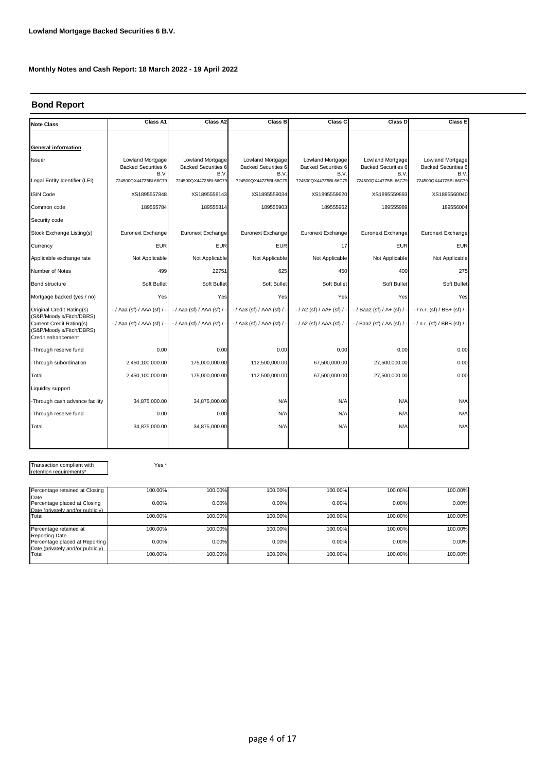#### **Bond Report**

| <b>Note Class</b>                                                          | Class A1                                               | Class A2                                               | Class B                                         | Class C                                                | Class D                                                | Class E                                                       |
|----------------------------------------------------------------------------|--------------------------------------------------------|--------------------------------------------------------|-------------------------------------------------|--------------------------------------------------------|--------------------------------------------------------|---------------------------------------------------------------|
|                                                                            |                                                        |                                                        |                                                 |                                                        |                                                        |                                                               |
| General information                                                        |                                                        |                                                        |                                                 |                                                        |                                                        |                                                               |
| Issuer                                                                     | Lowland Mortgage<br><b>Backed Securities 6</b><br>B.V. | Lowland Mortgage<br><b>Backed Securities 6</b><br>B.V. | Lowland Mortgage<br>Backed Securities 6<br>B.V. | Lowland Mortgage<br><b>Backed Securities 6</b><br>B.V. | Lowland Mortgage<br><b>Backed Securities 6</b><br>B.V. | <b>Lowland Mortgage</b><br><b>Backed Securities 6</b><br>B.V. |
| Legal Entity Identifier (LEI)                                              | 724500QX447Z5BL66C79                                   | 724500QX447Z5BL66C79                                   | 724500QX447Z5BL66C79                            | 724500QX447Z5BL66C79                                   | 724500QX447Z5BL66C79                                   | 724500QX447Z5BL66C79                                          |
| <b>ISIN Code</b>                                                           | XS1895557848                                           | XS1895558143                                           | XS1895559034                                    | XS1895559620                                           | XS1895559893                                           | XS1895560040                                                  |
| Common code                                                                | 189555784                                              | 189555814                                              | 189555903                                       | 189555962                                              | 189555989                                              | 189556004                                                     |
| Security code                                                              |                                                        |                                                        |                                                 |                                                        |                                                        |                                                               |
| Stock Exchange Listing(s)                                                  | Euronext Exchange                                      | Euronext Exchange                                      | Euronext Exchange                               | Euronext Exchange                                      | Euronext Exchange                                      | Euronext Exchange                                             |
| Currency                                                                   | <b>EUR</b>                                             | <b>EUR</b>                                             | <b>EUR</b>                                      | 17                                                     | <b>EUR</b>                                             | <b>EUR</b>                                                    |
| Applicable exchange rate                                                   | Not Applicable                                         | Not Applicable                                         | Not Applicable                                  | Not Applicable                                         | Not Applicable                                         | Not Applicable                                                |
| Number of Notes                                                            | 499                                                    | 22751                                                  | 625                                             | 450                                                    | 400                                                    | 275                                                           |
| Bond structure                                                             | Soft Bullet                                            | Soft Bullet                                            | Soft Bullet                                     | Soft Bullet                                            | Soft Bullet                                            | Soft Bullet                                                   |
| Mortgage backed (yes / no)                                                 | Yes                                                    | Yes                                                    | Yes                                             | Yes                                                    | Yes                                                    | Yes                                                           |
| Original Credit Rating(s)<br>(S&P/Moody's/Fitch/DBRS)                      | $-$ / Aaa (sf) / AAA (sf) /                            | $-$ / Aaa (sf) / AAA (sf) /                            | - / Aa3 (sf) / AAA (sf) / -                     | $- / A2$ (sf) / AA+ (sf) / $-$                         | -/ Baa2 (sf) / A+ (sf) / -                             | $-$ / n.r. (sf) / BB+ (sf) / -                                |
| Current Credit Rating(s)<br>(S&P/Moody's/Fitch/DBRS)<br>Credit enhancement | - / Aaa (sf) / AAA (sf) / -                            | $-$ / Aaa (sf) / AAA (sf) /                            | $-$ / Aa3 (sf) / AAA (sf) / $-$                 | - / A2 (sf) / AAA (sf) / -                             | - / Baa2 (sf) / AA (sf) / -                            | - / n.r. (sf) / BBB (sf) / -                                  |
| -Through reserve fund                                                      | 0.00                                                   | 0.00                                                   | 0.00                                            | 0.00                                                   | 0.00                                                   | 0.00                                                          |
| -Through subordination                                                     | 2,450,100,000.00                                       | 175,000,000.00                                         | 112,500,000.00                                  | 67,500,000.00                                          | 27,500,000.00                                          | 0.00                                                          |
| Total                                                                      | 2,450,100,000.00                                       | 175,000,000.00                                         | 112,500,000.00                                  | 67,500,000.00                                          | 27,500,000.00                                          | 0.00                                                          |
| Liquidity support                                                          |                                                        |                                                        |                                                 |                                                        |                                                        |                                                               |
| -Through cash advance facility                                             | 34,875,000.00                                          | 34,875,000.00                                          | N/A                                             | N/A                                                    | N/A                                                    | N/A                                                           |
| -Through reserve fund                                                      | 0.00                                                   | 0.00                                                   | N/A                                             | N/A                                                    | N/A                                                    | N/A                                                           |
| Total                                                                      | 34,875,000.00                                          | 34,875,000.00                                          | N/A                                             | N/A                                                    | N/A                                                    | N/A                                                           |
|                                                                            |                                                        |                                                        |                                                 |                                                        |                                                        |                                                               |

Transaction compliant with retention requirements\*

Yes \*

| Percentage retained at Closing                   | 100.00% | 100.00% | 100.00% | 100.00% | 100.00% | 100.00%  |
|--------------------------------------------------|---------|---------|---------|---------|---------|----------|
| Date<br>Percentage placed at Closing             | 0.00%   | 0.00%   | 0.00%   | 0.00%   | 0.00%   | $0.00\%$ |
| Date (privately and/or publicly)                 |         |         |         |         |         |          |
| Total                                            | 100.00% | 100.00% | 100.00% | 100.00% | 100.00% | 100.00%  |
| Percentage retained at                           | 100.00% | 100.00% | 100.00% | 100.00% | 100.00% | 100.00%  |
| Reporting Date<br>Percentage placed at Reporting | 0.00%   | 0.00%   | 0.00%   | 0.00%   | 0.00%   | 0.00%    |
| Date (privately and/or publicly)                 |         |         |         |         |         |          |
| Total                                            | 100.00% | 100.00% | 100.00% | 100.00% | 100.00% | 100.00%  |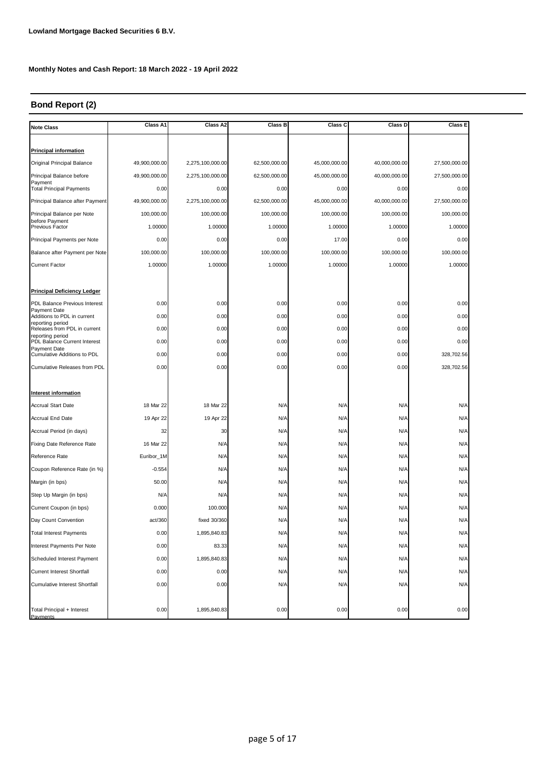#### **Bond Report (2)**

| <b>Note Class</b>                                | Class A1      | Class A2         | Class B       | Class C       | Class D       | Class E       |
|--------------------------------------------------|---------------|------------------|---------------|---------------|---------------|---------------|
|                                                  |               |                  |               |               |               |               |
| <b>Principal information</b>                     |               |                  |               |               |               |               |
| Original Principal Balance                       | 49,900,000.00 | 2,275,100,000.00 | 62,500,000.00 | 45,000,000.00 | 40,000,000.00 | 27,500,000.00 |
| Principal Balance before<br>Payment              | 49,900,000.00 | 2,275,100,000.00 | 62,500,000.00 | 45,000,000.00 | 40,000,000.00 | 27,500,000.00 |
| <b>Total Principal Payments</b>                  | 0.00          | 0.00             | 0.00          | 0.00          | 0.00          | 0.00          |
| Principal Balance after Payment                  | 49,900,000.00 | 2,275,100,000.00 | 62,500,000.00 | 45,000,000.00 | 40,000,000.00 | 27,500,000.00 |
| Principal Balance per Note                       | 100,000.00    | 100,000.00       | 100,000.00    | 100,000.00    | 100,000.00    | 100,000.00    |
| before Payment<br>Previous Factor                | 1.00000       | 1.00000          | 1.00000       | 1.00000       | 1.00000       | 1.00000       |
| Principal Payments per Note                      | 0.00          | 0.00             | 0.00          | 17.00         | 0.00          | 0.00          |
| Balance after Payment per Note                   | 100,000.00    | 100,000.00       | 100,000.00    | 100,000.00    | 100,000.00    | 100,000.00    |
| <b>Current Factor</b>                            | 1.00000       | 1.00000          | 1.00000       | 1.00000       | 1.00000       | 1.00000       |
|                                                  |               |                  |               |               |               |               |
| <b>Principal Deficiency Ledger</b>               |               |                  |               |               |               |               |
| PDL Balance Previous Interest                    | 0.00          | 0.00             | 0.00          | 0.00          | 0.00          | 0.00          |
| Payment Date<br>Additions to PDL in current      | 0.00          | 0.00             | 0.00          | 0.00          | 0.00          | 0.00          |
| reporting period<br>Releases from PDL in current | 0.00          | 0.00             | 0.00          | 0.00          | 0.00          | 0.00          |
| reporting period<br>PDL Balance Current Interest | 0.00          | 0.00             | 0.00          | 0.00          | 0.00          | 0.00          |
| Payment Date<br>Cumulative Additions to PDL      | 0.00          | 0.00             | 0.00          | 0.00          | 0.00          | 328,702.56    |
| Cumulative Releases from PDL                     | 0.00          | 0.00             | 0.00          | 0.00          | 0.00          | 328,702.56    |
|                                                  |               |                  |               |               |               |               |
| Interest information                             |               |                  |               |               |               |               |
| <b>Accrual Start Date</b>                        | 18 Mar 22     | 18 Mar 22        | N/A           | N/A           | N/A           | N/A           |
| Accrual End Date                                 | 19 Apr 22     | 19 Apr 22        | N/A           | N/A           | N/A           | N/A           |
| Accrual Period (in days)                         | 32            | 30               | N/A           | N/A           | N/A           | N/A           |
| Fixing Date Reference Rate                       | 16 Mar 22     | N/A              | N/A           | N/A           | N/A           | N/A           |
| Reference Rate                                   | Euribor_1M    | N/A              | N/A           | N/A           | N/A           | N/A           |
| Coupon Reference Rate (in %)                     | $-0.554$      | N/A              | N/A           | N/A           | N/A           | N/A           |
| Margin (in bps)                                  | 50.00         | N/A              | N/A           | N/A           | N/A           | N/A           |
| Step Up Margin (in bps)                          | N/A           | N/A              | N/A           | N/A           | N/A           | N/A           |
| Current Coupon (in bps)                          | 0.000         | 100.000          | N/A           | N/A           | N/A           | N/A           |
| Day Count Convention                             | act/360       | fixed 30/360     | N/A           | N/A           | N/A           | N/A           |
| <b>Total Interest Payments</b>                   | 0.00          | 1,895,840.83     | N/A           | N/A           | N/A           | N/A           |
| Interest Payments Per Note                       | 0.00          | 83.33            | N/A           | N/A           | N/A           | N/A           |
| Scheduled Interest Payment                       | 0.00          | 1,895,840.83     | N/A           | N/A           | N/A           | N/A           |
| Current Interest Shortfall                       | 0.00          | 0.00             | N/A           | N/A           | N/A           | N/A           |
| Cumulative Interest Shortfall                    | 0.00          | 0.00             | N/A           | N/A           | N/A           | N/A           |
|                                                  |               |                  |               |               |               |               |
| Total Principal + Interest                       | 0.00          | 1,895,840.83     | 0.00          | 0.00          | 0.00          | 0.00          |
| Payments                                         |               |                  |               |               |               |               |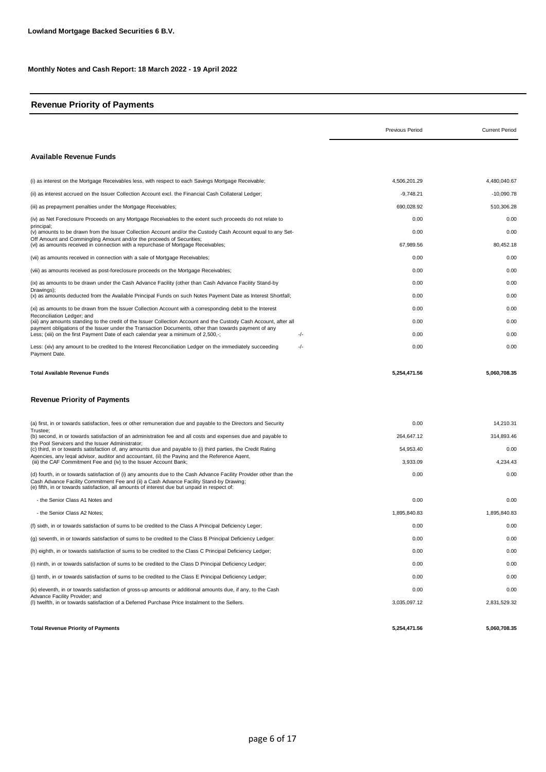#### **Revenue Priority of Payments**

|                                                                                                                                                                                                                                                                                                               | <b>Previous Period</b> | <b>Current Period</b> |
|---------------------------------------------------------------------------------------------------------------------------------------------------------------------------------------------------------------------------------------------------------------------------------------------------------------|------------------------|-----------------------|
| <b>Available Revenue Funds</b>                                                                                                                                                                                                                                                                                |                        |                       |
| (i) as interest on the Mortgage Receivables less, with respect to each Savings Mortgage Receivable;                                                                                                                                                                                                           | 4,506,201.29           | 4,480,040.67          |
| (ii) as interest accrued on the Issuer Collection Account excl. the Financial Cash Collateral Ledger;                                                                                                                                                                                                         | $-9,748.21$            | $-10,090.78$          |
| (iii) as prepayment penalties under the Mortgage Receivables;                                                                                                                                                                                                                                                 | 690,028.92             | 510,306.28            |
| (iv) as Net Foreclosure Proceeds on any Mortgage Receivables to the extent such proceeds do not relate to                                                                                                                                                                                                     | 0.00                   | 0.00                  |
| principal;<br>(v) amounts to be drawn from the Issuer Collection Account and/or the Custody Cash Account equal to any Set-                                                                                                                                                                                    | 0.00                   | 0.00                  |
| Off Amount and Commingling Amount and/or the proceeds of Securities:<br>(vi) as amounts received in connection with a repurchase of Mortgage Receivables;                                                                                                                                                     | 67,989.56              | 80,452.18             |
| (vii) as amounts received in connection with a sale of Mortgage Receivables;                                                                                                                                                                                                                                  | 0.00                   | 0.00                  |
| (viii) as amounts received as post-foreclosure proceeds on the Mortgage Receivables;                                                                                                                                                                                                                          | 0.00                   | 0.00                  |
| (ix) as amounts to be drawn under the Cash Advance Facility (other than Cash Advance Facility Stand-by                                                                                                                                                                                                        | 0.00                   | 0.00                  |
| Drawings);<br>(x) as amounts deducted from the Available Principal Funds on such Notes Payment Date as Interest Shortfall;                                                                                                                                                                                    | 0.00                   | 0.00                  |
| (xi) as amounts to be drawn from the Issuer Collection Account with a corresponding debit to the Interest                                                                                                                                                                                                     | 0.00                   | 0.00                  |
| Reconciliation Ledger; and<br>(xii) any amounts standing to the credit of the Issuer Collection Account and the Custody Cash Account, after all                                                                                                                                                               | 0.00                   | 0.00                  |
| payment obligations of the Issuer under the Transaction Documents, other than towards payment of any<br>-/-<br>Less; (xiii) on the first Payment Date of each calendar year a minimum of 2,500,-;                                                                                                             | 0.00                   | 0.00                  |
| Less: (xiv) any amount to be credited to the Interest Reconciliation Ledger on the immediately succeeding<br>$-/-$<br>Payment Date.                                                                                                                                                                           | 0.00                   | 0.00                  |
| <b>Total Available Revenue Funds</b><br><b>Revenue Priority of Payments</b>                                                                                                                                                                                                                                   | 5,254,471.56           | 5,060,708.35          |
|                                                                                                                                                                                                                                                                                                               |                        |                       |
| (a) first, in or towards satisfaction, fees or other remuneration due and payable to the Directors and Security<br>Trustee:                                                                                                                                                                                   | 0.00                   | 14,210.31             |
| (b) second, in or towards satisfaction of an administration fee and all costs and expenses due and payable to<br>the Pool Servicers and the Issuer Administrator;                                                                                                                                             | 264,647.12             | 314,893.46            |
| (c) third, in or towards satisfaction of, any amounts due and payable to (i) third parties, the Credit Rating<br>Agencies, any legal advisor, auditor and accountant, (ii) the Paying and the Reference Agent,                                                                                                | 54,953.40              | 0.00                  |
| (iii) the CAF Commitment Fee and (iv) to the Issuer Account Bank;                                                                                                                                                                                                                                             | 3,933.09               | 4,234.43              |
| (d) fourth, in or towards satisfaction of (i) any amounts due to the Cash Advance Facility Provider other than the<br>Cash Advance Facility Commitment Fee and (ii) a Cash Advance Facility Stand-by Drawing;<br>(e) fifth, in or towards satisfaction, all amounts of interest due but unpaid in respect of: | 0.00                   | 0.00                  |
| - the Senior Class A1 Notes and                                                                                                                                                                                                                                                                               | 0.00                   | 0.00                  |
| - the Senior Class A2 Notes;                                                                                                                                                                                                                                                                                  | 1.895.840.83           | 1,895,840.83          |
| (f) sixth, in or towards satisfaction of sums to be credited to the Class A Principal Deficiency Leger;                                                                                                                                                                                                       | 0.00                   | 0.00                  |
| (g) seventh, in or towards satisfaction of sums to be credited to the Class B Principal Deficiency Ledger:                                                                                                                                                                                                    | 0.00                   | 0.00                  |
| (h) eighth, in or towards satisfaction of sums to be credited to the Class C Principal Deficiency Ledger;                                                                                                                                                                                                     | 0.00                   | 0.00                  |
| (i) ninth, in or towards satisfaction of sums to be credited to the Class D Principal Deficiency Ledger;                                                                                                                                                                                                      | 0.00                   | 0.00                  |
| (j) tenth, in or towards satisfaction of sums to be credited to the Class E Principal Deficiency Ledger;                                                                                                                                                                                                      | 0.00                   | 0.00                  |
| (k) eleventh, in or towards satisfaction of gross-up amounts or additional amounts due, if any, to the Cash                                                                                                                                                                                                   | 0.00                   | 0.00                  |
| Advance Facility Provider; and<br>(I) twelfth, in or towards satisfaction of a Deferred Purchase Price Instalment to the Sellers.                                                                                                                                                                             | 3,035,097.12           | 2,831,529.32          |
| <b>Total Revenue Priority of Payments</b>                                                                                                                                                                                                                                                                     | 5,254,471.56           | 5,060,708.35          |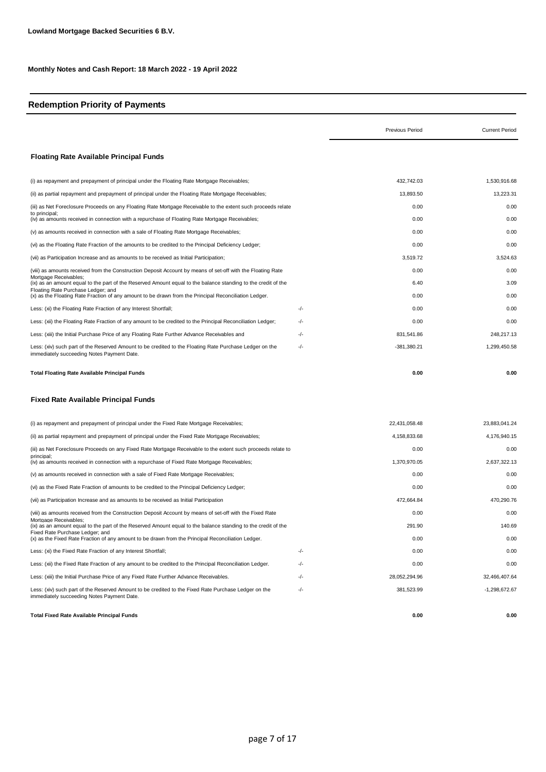#### **Redemption Priority of Payments**

|                                                                                                                                                                           |     | <b>Previous Period</b> | <b>Current Period</b> |
|---------------------------------------------------------------------------------------------------------------------------------------------------------------------------|-----|------------------------|-----------------------|
| <b>Floating Rate Available Principal Funds</b>                                                                                                                            |     |                        |                       |
| (i) as repayment and prepayment of principal under the Floating Rate Mortgage Receivables;                                                                                |     | 432.742.03             | 1,530,916.68          |
| (ii) as partial repayment and prepayment of principal under the Floating Rate Mortgage Receivables;                                                                       |     | 13,893.50              | 13,223.31             |
| (iii) as Net Foreclosure Proceeds on any Floating Rate Mortgage Receivable to the extent such proceeds relate                                                             |     | 0.00                   | 0.00                  |
| to principal;<br>(iv) as amounts received in connection with a repurchase of Floating Rate Mortgage Receivables;                                                          |     | 0.00                   | 0.00                  |
| (v) as amounts received in connection with a sale of Floating Rate Mortgage Receivables;                                                                                  |     | 0.00                   | 0.00                  |
| (vi) as the Floating Rate Fraction of the amounts to be credited to the Principal Deficiency Ledger;                                                                      |     | 0.00                   | 0.00                  |
| (vii) as Participation Increase and as amounts to be received as Initial Participation;                                                                                   |     | 3,519.72               | 3,524.63              |
| (viii) as amounts received from the Construction Deposit Account by means of set-off with the Floating Rate                                                               |     | 0.00                   | 0.00                  |
| Mortgage Receivables;<br>(ix) as an amount equal to the part of the Reserved Amount equal to the balance standing to the credit of the                                    |     | 6.40                   | 3.09                  |
| Floating Rate Purchase Ledger; and<br>(x) as the Floating Rate Fraction of any amount to be drawn from the Principal Reconciliation Ledger.                               |     | 0.00                   | 0.00                  |
| Less: (xi) the Floating Rate Fraction of any Interest Shortfall;                                                                                                          | -/- | 0.00                   | 0.00                  |
| Less: (xii) the Floating Rate Fraction of any amount to be credited to the Principal Reconciliation Ledger;                                                               | -/- | 0.00                   | 0.00                  |
| Less: (xiii) the Initial Purchase Price of any Floating Rate Further Advance Receivables and                                                                              | -/- | 831,541.86             | 248,217.13            |
| Less: (xiv) such part of the Reserved Amount to be credited to the Floating Rate Purchase Ledger on the<br>immediately succeeding Notes Payment Date.                     | -/- | $-381,380.21$          | 1,299,450.58          |
| <b>Total Floating Rate Available Principal Funds</b>                                                                                                                      |     | 0.00                   | 0.00                  |
| Fixed Rate Available Principal Funds                                                                                                                                      |     |                        |                       |
| (i) as repayment and prepayment of principal under the Fixed Rate Mortgage Receivables;                                                                                   |     | 22,431,058.48          | 23,883,041.24         |
| (ii) as partial repayment and prepayment of principal under the Fixed Rate Mortgage Receivables;                                                                          |     | 4,158,833.68           | 4,176,940.15          |
| (iii) as Net Foreclosure Proceeds on any Fixed Rate Mortgage Receivable to the extent such proceeds relate to                                                             |     | 0.00                   | 0.00                  |
| principal;<br>(iv) as amounts received in connection with a repurchase of Fixed Rate Mortgage Receivables;                                                                |     | 1,370,970.05           | 2,637,322.13          |
| (v) as amounts received in connection with a sale of Fixed Rate Mortgage Receivables;                                                                                     |     | 0.00                   | 0.00                  |
| (vi) as the Fixed Rate Fraction of amounts to be credited to the Principal Deficiency Ledger;                                                                             |     | 0.00                   | 0.00                  |
| (vii) as Participation Increase and as amounts to be received as Initial Participation                                                                                    |     | 472,664.84             | 470,290.76            |
| (viii) as amounts received from the Construction Deposit Account by means of set-off with the Fixed Rate                                                                  |     | 0.00                   | 0.00                  |
| Mortgage Receivables;<br>(ix) as an amount equal to the part of the Reserved Amount equal to the balance standing to the credit of the<br>Fixed Rate Purchase Ledger; and |     | 291.90                 | 140.69                |
| (x) as the Fixed Rate Fraction of any amount to be drawn from the Principal Reconciliation Ledger.                                                                        |     | 0.00                   | 0.00                  |
| Less: (xi) the Fixed Rate Fraction of any Interest Shortfall;                                                                                                             | -/- | 0.00                   | 0.00                  |
| Less: (xii) the Fixed Rate Fraction of any amount to be credited to the Principal Reconciliation Ledger.                                                                  | -/- | 0.00                   | 0.00                  |
| Less: (xiii) the Initial Purchase Price of any Fixed Rate Further Advance Receivables.                                                                                    | -/- | 28,052,294.96          | 32,466,407.64         |
| Less: (xiv) such part of the Reserved Amount to be credited to the Fixed Rate Purchase Ledger on the<br>immediately succeeding Notes Payment Date.                        | -/- | 381,523.99             | -1,298,672.67         |
| <b>Total Fixed Rate Available Principal Funds</b>                                                                                                                         |     | 0.00                   | 0.00                  |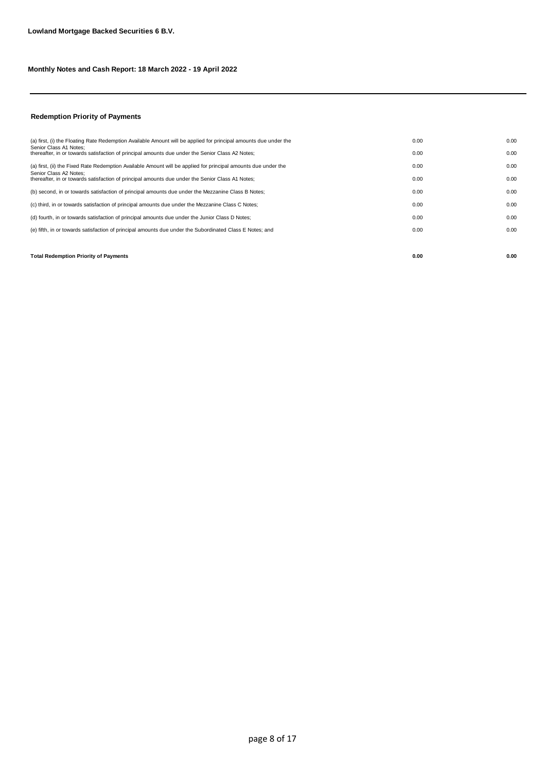#### **Redemption Priority of Payments**

| <b>Total Redemption Priority of Payments</b>                                                                               | 0.00 | 0.00 |
|----------------------------------------------------------------------------------------------------------------------------|------|------|
|                                                                                                                            |      |      |
| (e) fifth, in or towards satisfaction of principal amounts due under the Subordinated Class E Notes; and                   | 0.00 | 0.00 |
| (d) fourth, in or towards satisfaction of principal amounts due under the Junior Class D Notes;                            | 0.00 | 0.00 |
| (c) third, in or towards satisfaction of principal amounts due under the Mezzanine Class C Notes;                          | 0.00 | 0.00 |
| (b) second, in or towards satisfaction of principal amounts due under the Mezzanine Class B Notes;                         | 0.00 | 0.00 |
| Senior Class A2 Notes:<br>thereafter, in or towards satisfaction of principal amounts due under the Senior Class A1 Notes; | 0.00 | 0.00 |
| (a) first, (ii) the Fixed Rate Redemption Available Amount will be applied for principal amounts due under the             | 0.00 | 0.00 |
| Senior Class A1 Notes:<br>thereafter, in or towards satisfaction of principal amounts due under the Senior Class A2 Notes; | 0.00 | 0.00 |
| (a) first, (i) the Floating Rate Redemption Available Amount will be applied for principal amounts due under the           | 0.00 | 0.00 |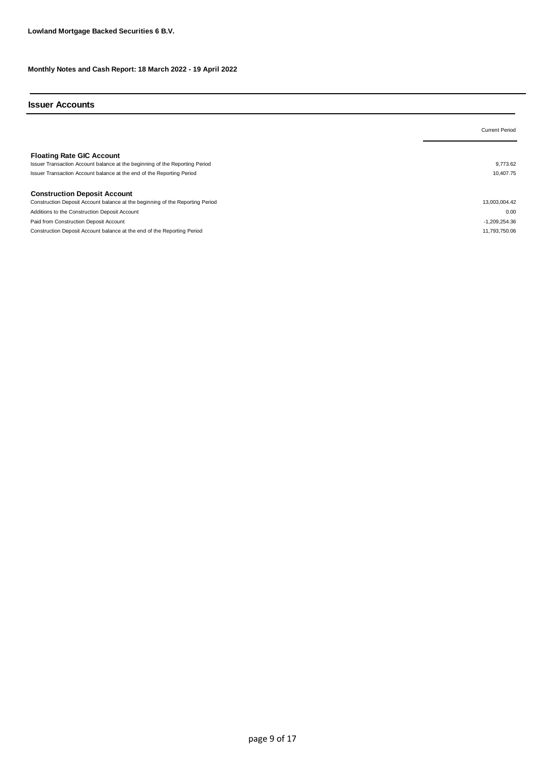#### **Issuer Accounts**

|                                                                                                                                                                                          | <b>Current Period</b> |
|------------------------------------------------------------------------------------------------------------------------------------------------------------------------------------------|-----------------------|
| <b>Floating Rate GIC Account</b><br>Issuer Transaction Account balance at the beginning of the Reporting Period<br>Issuer Transaction Account balance at the end of the Reporting Period | 9.773.62<br>10,407.75 |
| <b>Construction Deposit Account</b>                                                                                                                                                      |                       |
| Construction Deposit Account balance at the beginning of the Reporting Period                                                                                                            | 13,003,004.42         |
| Additions to the Construction Deposit Account                                                                                                                                            | 0.00                  |
| Paid from Construction Deposit Account                                                                                                                                                   | $-1,209,254.36$       |
| Construction Deposit Account balance at the end of the Reporting Period                                                                                                                  | 11.793.750.06         |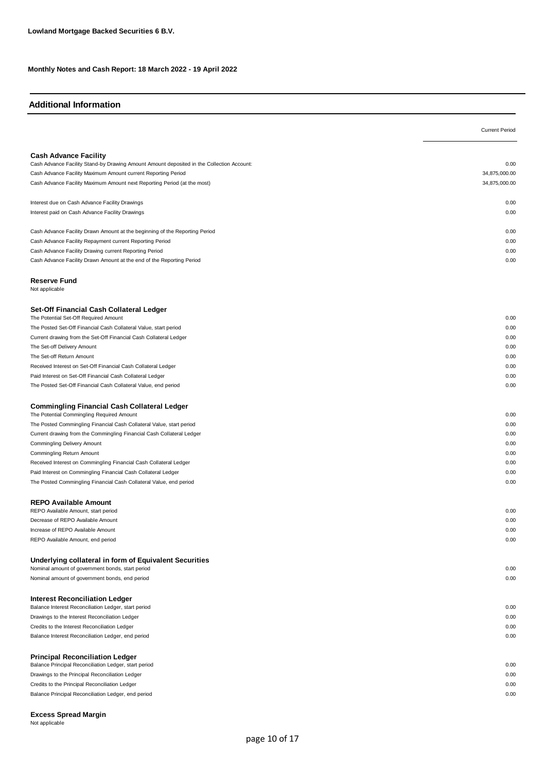#### **Additional Information**

|                                                                                           | <b>Current Period</b> |
|-------------------------------------------------------------------------------------------|-----------------------|
|                                                                                           |                       |
| <b>Cash Advance Facility</b>                                                              |                       |
| Cash Advance Facility Stand-by Drawing Amount Amount deposited in the Collection Account: | 0.00                  |
| Cash Advance Facility Maximum Amount current Reporting Period                             | 34,875,000.00         |
| Cash Advance Facility Maximum Amount next Reporting Period (at the most)                  | 34,875,000.00         |
|                                                                                           |                       |
| Interest due on Cash Advance Facility Drawings                                            | 0.00                  |
| Interest paid on Cash Advance Facility Drawings                                           | 0.00                  |
|                                                                                           |                       |
| Cash Advance Facility Drawn Amount at the beginning of the Reporting Period               | 0.00                  |
| Cash Advance Facility Repayment current Reporting Period                                  | 0.00                  |
| Cash Advance Facility Drawing current Reporting Period                                    | 0.00                  |
| Cash Advance Facility Drawn Amount at the end of the Reporting Period                     | 0.00                  |
|                                                                                           |                       |
| <b>Reserve Fund</b><br>Not applicable                                                     |                       |
|                                                                                           |                       |
| Set-Off Financial Cash Collateral Ledger                                                  |                       |
| The Potential Set-Off Required Amount                                                     | 0.00                  |
| The Posted Set-Off Financial Cash Collateral Value, start period                          | 0.00                  |
| Current drawing from the Set-Off Financial Cash Collateral Ledger                         | 0.00                  |
| The Set-off Delivery Amount                                                               | 0.00                  |
| The Set-off Return Amount                                                                 | 0.00                  |
| Received Interest on Set-Off Financial Cash Collateral Ledger                             | 0.00                  |
| Paid Interest on Set-Off Financial Cash Collateral Ledger                                 | 0.00                  |
| The Posted Set-Off Financial Cash Collateral Value, end period                            | 0.00                  |
|                                                                                           |                       |
| <b>Commingling Financial Cash Collateral Ledger</b>                                       |                       |
| The Potential Commingling Required Amount                                                 | 0.00                  |
| The Posted Commingling Financial Cash Collateral Value, start period                      | 0.00                  |
| Current drawing from the Commingling Financial Cash Collateral Ledger                     | 0.00                  |
| Commingling Delivery Amount                                                               | 0.00                  |
| Commingling Return Amount                                                                 | 0.00                  |
| Received Interest on Commingling Financial Cash Collateral Ledger                         | 0.00                  |
| Paid Interest on Commingling Financial Cash Collateral Ledger                             | 0.00                  |
| The Posted Commingling Financial Cash Collateral Value, end period                        | 0.00                  |
|                                                                                           |                       |
| <b>REPO Available Amount</b>                                                              |                       |
| REPO Available Amount, start period                                                       | 0.00                  |
| Decrease of REPO Available Amount                                                         | 0.00                  |
| Increase of REPO Available Amount                                                         | 0.00                  |
| REPO Available Amount, end period                                                         | 0.00                  |
| Underlying collateral in form of Equivalent Securities                                    |                       |
| Nominal amount of government bonds, start period                                          | 0.00                  |
| Nominal amount of government bonds, end period                                            | 0.00                  |
|                                                                                           |                       |
| <b>Interest Reconciliation Ledger</b>                                                     |                       |
| Balance Interest Reconciliation Ledger, start period                                      | 0.00                  |
| Drawings to the Interest Reconciliation Ledger                                            | 0.00                  |
| Credits to the Interest Reconciliation Ledger                                             | 0.00                  |
| Balance Interest Reconciliation Ledger, end period                                        | 0.00                  |
|                                                                                           |                       |
| <b>Principal Reconciliation Ledger</b>                                                    |                       |
| Balance Principal Reconciliation Ledger, start period                                     | 0.00                  |
| Drawings to the Principal Reconciliation Ledger                                           | 0.00                  |
| Credits to the Principal Reconciliation Ledger                                            | 0.00                  |
| Balance Principal Reconciliation Ledger, end period                                       | 0.00                  |

**Excess Spread Margin** Not applicable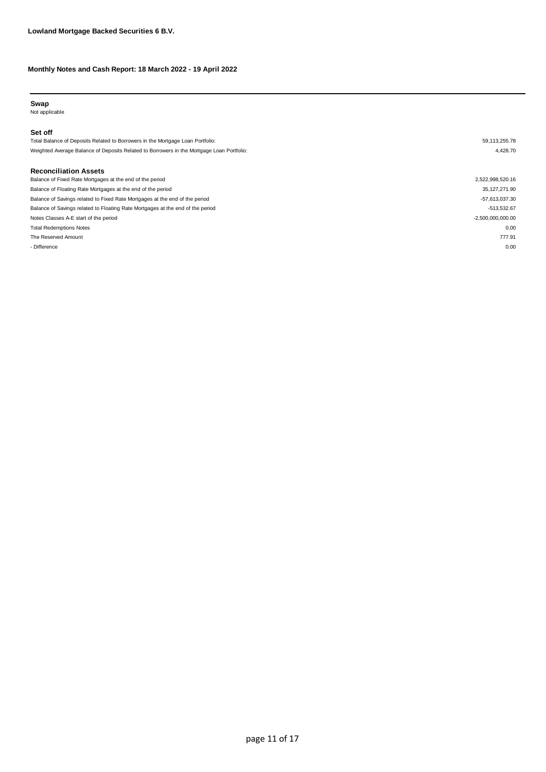#### **Swap**

Not applicable

#### **Set off**

| Total Balance of Deposits Related to Borrowers in the Mortgage Loan Portfolio:            | 59.113.255.78 |
|-------------------------------------------------------------------------------------------|---------------|
| Weighted Average Balance of Deposits Related to Borrowers in the Mortgage Loan Portfolio: | 4.428.70      |

#### **Reconciliation Assets**

| Balance of Fixed Rate Mortgages at the end of the period                       | 2,522,998,520.16    |
|--------------------------------------------------------------------------------|---------------------|
| Balance of Floating Rate Mortgages at the end of the period                    | 35,127,271.90       |
| Balance of Savings related to Fixed Rate Mortgages at the end of the period    | $-57,613,037.30$    |
| Balance of Savings related to Floating Rate Mortgages at the end of the period | $-513,532.67$       |
| Notes Classes A-E start of the period                                          | $-2,500,000,000.00$ |
| <b>Total Redemptions Notes</b>                                                 | 0.00                |
| The Reserved Amount                                                            | 777.91              |
| - Difference                                                                   | 0.00                |
|                                                                                |                     |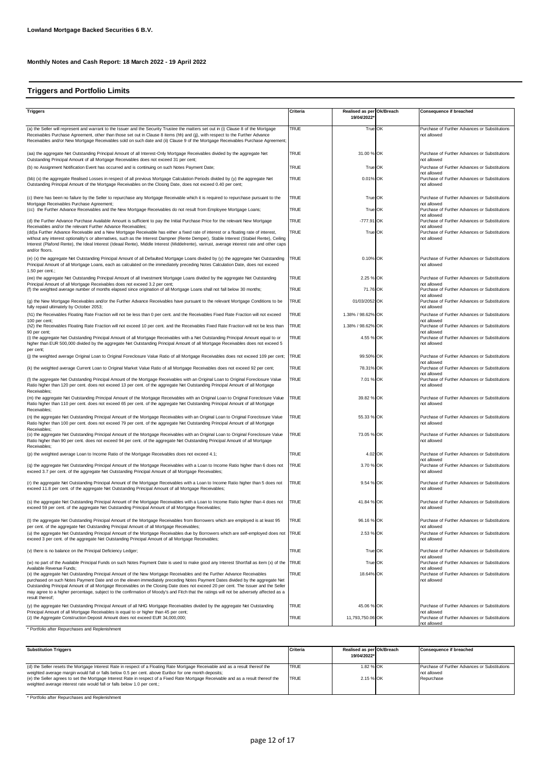## **Triggers and Portfolio Limits**

| <b>Triggers</b>                                                                                                                                                                                                                                                                                                                                                                                                                                                                                                                                                                                                                  | Criteria            | Realised as per Ok/Breach<br>19/04/2022 | Consequence if breached                                                                                                      |
|----------------------------------------------------------------------------------------------------------------------------------------------------------------------------------------------------------------------------------------------------------------------------------------------------------------------------------------------------------------------------------------------------------------------------------------------------------------------------------------------------------------------------------------------------------------------------------------------------------------------------------|---------------------|-----------------------------------------|------------------------------------------------------------------------------------------------------------------------------|
|                                                                                                                                                                                                                                                                                                                                                                                                                                                                                                                                                                                                                                  |                     |                                         |                                                                                                                              |
| (a) the Seller will represent and warrant to the Issuer and the Security Trustee the matters set out in (i) Clause 8 of the Mortgage<br>Receivables Purchase Agreement, other than those set out in Clause 8 items (hh) and (jj), with respect to the Further Advance<br>Receivables and/or New Mortgage Receivables sold on such date and (ii) Clause 9 of the Mortgage Receivables Purchase Agreement;                                                                                                                                                                                                                         | <b>TRUE</b>         | True OK                                 | Purchase of Further Advances or Substitutions<br>not allowed                                                                 |
| (aa) the aggregate Net Outstanding Principal Amount of all Interest-Only Mortgage Receivables divided by the aggregate Net<br>Outstanding Principal Amount of all Mortgage Receivables does not exceed 31 per cent;                                                                                                                                                                                                                                                                                                                                                                                                              | <b>TRUE</b>         | 31.00 % OK                              | Purchase of Further Advances or Substitutions<br>not allowed                                                                 |
| (b) no Assignment Notification Event has occurred and is continuing on such Notes Payment Date;                                                                                                                                                                                                                                                                                                                                                                                                                                                                                                                                  | <b>TRUE</b>         | True OK                                 | Purchase of Further Advances or Substitutions                                                                                |
| (bb) (x) the aggregate Realised Losses in respect of all previous Mortgage Calculation Periods divided by (y) the aggregate Net<br>Outstanding Principal Amount of the Mortgage Receivables on the Closing Date, does not exceed 0.40 per cent;                                                                                                                                                                                                                                                                                                                                                                                  | <b>TRUE</b>         | 0.01% OK                                | not allowed<br>Purchase of Further Advances or Substitutions<br>not allowed                                                  |
| (c) there has been no failure by the Seller to repurchase any Mortgage Receivable which it is required to repurchase pursuant to the<br>Mortgage Receivables Purchase Agreement;                                                                                                                                                                                                                                                                                                                                                                                                                                                 | <b>TRUE</b>         | True OK                                 | Purchase of Further Advances or Substitutions<br>not allowed                                                                 |
| (cc) the Further Advance Receivables and the New Mortgage Receivables do not result from Employee Mortgage Loans;                                                                                                                                                                                                                                                                                                                                                                                                                                                                                                                | <b>TRUE</b>         | True OK                                 | Purchase of Further Advances or Substitutions<br>not allowed                                                                 |
| (d) the Further Advance Purchase Available Amount is sufficient to pay the Initial Purchase Price for the relevant New Mortgage<br>Receivables and/or the relevant Further Advance Receivables;<br>(dd)a Further Advance Receivable and a New Mortgage Receivable has either a fixed rate of interest or a floating rate of interest,<br>without any interest optionality's or alternatives, such as the Interest Dampner (Rente Demper), Stable Interest (Stabiel Rente), Ceiling<br>Interest (Plafond Rente), the Ideal Interest (Ideaal Rente), Middle Interest (Middelrente), varirust, average interest rate and other caps | TRUE<br><b>TRUE</b> | -777.91 OK<br>True OK                   | Purchase of Further Advances or Substitutions<br>not allowed<br>Purchase of Further Advances or Substitutions<br>not allowed |
| and/or floors.<br>(e) (x) the aggregate Net Outstanding Principal Amount of all Defaulted Mortgage Loans divided by (y) the aggregate Net Outstanding<br>Principal Amount of all Mortgage Loans, each as calculated on the immediately preceding Notes Calculation Date, does not exceed<br>1.50 per cent.;                                                                                                                                                                                                                                                                                                                      | TRUE                | 0.10% OK                                | Purchase of Further Advances or Substitutions<br>not allowed                                                                 |
| (ee) the aggregate Net Outstanding Principal Amount of all Investment Mortgage Loans divided by the aggregate Net Outstanding                                                                                                                                                                                                                                                                                                                                                                                                                                                                                                    | <b>TRUE</b>         | 2.25 % OK                               | Purchase of Further Advances or Substitutions                                                                                |
| Principal Amount of all Mortgage Receivables does not exceed 3.2 per cent;<br>(f) the weighted average number of months elapsed since origination of all Mortgage Loans shall not fall below 30 months;                                                                                                                                                                                                                                                                                                                                                                                                                          | <b>TRUE</b>         | 71.76 OK                                | not allowed<br>Purchase of Further Advances or Substitutions                                                                 |
| (g) the New Mortgage Receivables and/or the Further Advance Receivables have pursuant to the relevant Mortgage Conditions to be<br>fully repaid ultimately by October 2053;                                                                                                                                                                                                                                                                                                                                                                                                                                                      | TRUE                | 01/03/2052 OK                           | not allowed<br>Purchase of Further Advances or Substitutions<br>not allowed                                                  |
| (h1) the Receivables Floating Rate Fraction will not be less than 0 per cent. and the Receivables Fixed Rate Fraction will not exceed                                                                                                                                                                                                                                                                                                                                                                                                                                                                                            | <b>TRUE</b>         | 1.38% / 98.62% OK                       | Purchase of Further Advances or Substitutions                                                                                |
| 100 per cent;<br>(h2) the Receivables Floating Rate Fraction will not exceed 10 per cent. and the Receivables Fixed Rate Fraction will not be less than<br>90 per cent;                                                                                                                                                                                                                                                                                                                                                                                                                                                          | <b>TRUE</b>         | 1.38% / 98.62% OK                       | not allowed<br>Purchase of Further Advances or Substitutions<br>not allowed                                                  |
| (i) the aggregate Net Outstanding Principal Amount of all Mortgage Receivables with a Net Outstanding Principal Amount equal to or<br>higher than EUR 500,000 divided by the aggregate Net Outstanding Principal Amount of all Mortgage Receivables does not exceed 5                                                                                                                                                                                                                                                                                                                                                            | <b>TRUE</b>         | 4.55 % OK                               | Purchase of Further Advances or Substitutions<br>not allowed                                                                 |
| per cent;<br>(i) the weighted average Original Loan to Original Foreclosure Value Ratio of all Mortgage Receivables does not exceed 109 per cent; TRUE                                                                                                                                                                                                                                                                                                                                                                                                                                                                           |                     | 99.50% OK                               | Purchase of Further Advances or Substitutions<br>not allowed                                                                 |
| (k) the weighted average Current Loan to Original Market Value Ratio of all Mortgage Receivables does not exceed 92 per cent;                                                                                                                                                                                                                                                                                                                                                                                                                                                                                                    | <b>TRUE</b>         | 78.31% OK                               | Purchase of Further Advances or Substitutions                                                                                |
| (I) the aggregate Net Outstanding Principal Amount of the Mortgage Receivables with an Original Loan to Original Foreclosure Value<br>Ratio higher than 120 per cent. does not exceed 13 per cent. of the aggregate Net Outstanding Principal Amount of all Mortgage<br>Receivables;                                                                                                                                                                                                                                                                                                                                             | TRUE                | 7.01 % OK                               | not allowed<br>Purchase of Further Advances or Substitutions<br>not allowed                                                  |
| (m) the aggregate Net Outstanding Principal Amount of the Mortgage Receivables with an Original Loan to Original Foreclosure Value<br>Ratio higher than 110 per cent. does not exceed 65 per cent. of the aggregate Net Outstanding Principal Amount of all Mortgage<br>Receivables;                                                                                                                                                                                                                                                                                                                                             | <b>TRUE</b>         | 39.82 % OK                              | Purchase of Further Advances or Substitutions<br>not allowed                                                                 |
| (n) the aggregate Net Outstanding Principal Amount of the Mortgage Receivables with an Original Loan to Original Foreclosure Value<br>Ratio higher than 100 per cent. does not exceed 79 per cent. of the aggregate Net Outstanding Principal Amount of all Mortgage<br>Receivables;                                                                                                                                                                                                                                                                                                                                             | TRUE                | 55.33 % OK                              | Purchase of Further Advances or Substitutions<br>not allowed                                                                 |
| (o) the aggregate Net Outstanding Principal Amount of the Mortgage Receivables with an Original Loan to Original Foreclosure Value TRUE<br>Ratio higher than 90 per cent. does not exceed 94 per cent. of the aggregate Net Outstanding Principal Amount of all Mortgage<br>Receivables;                                                                                                                                                                                                                                                                                                                                         |                     | 73.05 % OK                              | Purchase of Further Advances or Substitutions<br>not allowed                                                                 |
| (p) the weighted average Loan to Income Ratio of the Mortgage Receivables does not exceed 4.1;                                                                                                                                                                                                                                                                                                                                                                                                                                                                                                                                   | <b>TRUE</b>         | 4.02 OK                                 | Purchase of Further Advances or Substitutions                                                                                |
| (q) the aggregate Net Outstanding Principal Amount of the Mortgage Receivables with a Loan to Income Ratio higher than 6 does not<br>exceed 3.7 per cent. of the aggregate Net Outstanding Principal Amount of all Mortgage Receivables;                                                                                                                                                                                                                                                                                                                                                                                         | TRUE                | 3.70 % OK                               | not allowed<br>Purchase of Further Advances or Substitutions<br>not allowed                                                  |
| (r) the aggregate Net Outstanding Principal Amount of the Mortgage Receivables with a Loan to Income Ratio higher than 5 does not<br>exceed 11.8 per cent. of the aggregate Net Outstanding Principal Amount of all Mortgage Receivables;                                                                                                                                                                                                                                                                                                                                                                                        | <b>TRUE</b>         | 9.54 % OK                               | Purchase of Further Advances or Substitutions<br>not allowed                                                                 |
| (s) the aggregate Net Outstanding Principal Amount of the Mortgage Receivables with a Loan to Income Ratio higher than 4 does not<br>exceed 59 per cent. of the aggregate Net Outstanding Principal Amount of all Mortgage Receivables;                                                                                                                                                                                                                                                                                                                                                                                          | <b>TRUE</b>         | 41.84 % OK                              | Purchase of Further Advances or Substitutions<br>not allowed                                                                 |
| (t) the aggregate Net Outstanding Principal Amount of the Mortgage Receivables from Borrowers which are employed is at least 95<br>per cent. of the aggregate Net Outstanding Principal Amount of all Mortgage Receivables;                                                                                                                                                                                                                                                                                                                                                                                                      | <b>TRUE</b>         | 96.16 % OK                              | Purchase of Further Advances or Substitutions<br>not allowed                                                                 |
| (u) the aggregate Net Outstanding Principal Amount of the Mortgage Receivables due by Borrowers which are self-employed does not TRUE<br>exceed 3 per cent. of the aggregate Net Outstanding Principal Amount of all Mortgage Receivables;                                                                                                                                                                                                                                                                                                                                                                                       |                     | 2.53 % OK                               | Purchase of Further Advances or Substitutions<br>not allowed                                                                 |
| (v) there is no balance on the Principal Deficiency Ledger;                                                                                                                                                                                                                                                                                                                                                                                                                                                                                                                                                                      | <b>TRUE</b>         | True OK                                 | Purchase of Further Advances or Substitutions<br>not allowed                                                                 |
| (w) no part of the Available Principal Funds on such Notes Payment Date is used to make good any Interest Shortfall as item (x) of the TRUE<br>Available Revenue Funds;                                                                                                                                                                                                                                                                                                                                                                                                                                                          |                     | True OK                                 | Purchase of Further Advances or Substitutions<br>not allowed                                                                 |
| (x) the aggregate Net Outstanding Principal Amount of the New Mortgage Receivables and the Further Advance Receivables<br>purchased on such Notes Payment Date and on the eleven immediately preceding Notes Payment Dates divided by the aggregate Net<br>Outstanding Principal Amount of all Mortgage Receivables on the Closing Date does not exceed 20 per cent. The Issuer and the Seller<br>may agree to a higher percentage, subject to the confirmation of Moody's and Fitch that the ratings will not be adversely affected as a<br>result thereof;                                                                     | <b>TRUE</b>         | 18.64% OK                               | Purchase of Further Advances or Substitutions<br>not allowed                                                                 |
| (y) the aggregate Net Outstanding Principal Amount of all NHG Mortgage Receivables divided by the aggregate Net Outstanding                                                                                                                                                                                                                                                                                                                                                                                                                                                                                                      | <b>TRUE</b>         | 45.06 % OK                              | Purchase of Further Advances or Substitutions                                                                                |
| Principal Amount of all Mortgage Receivables is equal to or higher than 45 per cent;<br>(z) the Aggregate Construction Deposit Amount does not exceed EUR 34,000,000;                                                                                                                                                                                                                                                                                                                                                                                                                                                            | <b>TRUE</b>         | 11,793,750.06 OK                        | not allowed<br>Purchase of Further Advances or Substitutions<br>not allowed                                                  |

\* Portfolio after Repurchases and Replenishment

| <b>Substitution Triggers</b>                                                                                                                                                                                                            | Criteria     | Realised as per Ok/Breach<br>19/04/2022* | <b>Consequence if breached</b>                               |
|-----------------------------------------------------------------------------------------------------------------------------------------------------------------------------------------------------------------------------------------|--------------|------------------------------------------|--------------------------------------------------------------|
| (d) the Seller resets the Mortgage Interest Rate in respect of a Floating Rate Mortgage Receivable and as a result thereof the<br>weighted average margin would fall or falls below 0.5 per cent. above Euribor for one month deposits; | <b>TRUE</b>  | 1.82 % OK                                | Purchase of Further Advances or Substitutions<br>not allowed |
| (e) the Seller agrees to set the Mortgage Interest Rate in respect of a Fixed Rate Mortgage Receivable and as a result thereof the<br>weighted average interest rate would fall or falls below 1.0 per cent.;                           | <b>ITRUE</b> | 2.15 % OK                                | Repurchase                                                   |

\* Portfolio after Repurchases and Replenishment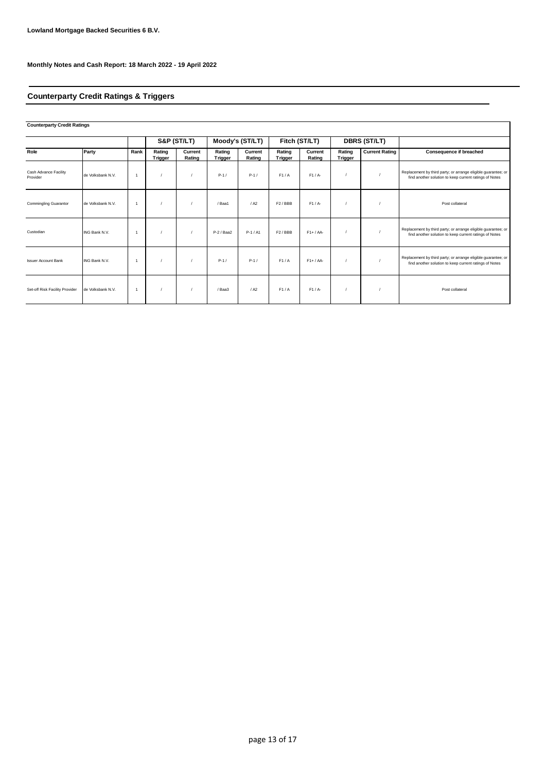## **Counterparty Credit Ratings & Triggers**

#### **Counterparty Credit Ratings**

|                                   |                   |                | S&P (ST/LT)              |                   |                   | Moody's (ST/LT)   |                     | Fitch (ST/LT)     |                   | <b>DBRS (ST/LT)</b>   |                                                                                                                         |
|-----------------------------------|-------------------|----------------|--------------------------|-------------------|-------------------|-------------------|---------------------|-------------------|-------------------|-----------------------|-------------------------------------------------------------------------------------------------------------------------|
| Role                              | Party             | Rank           | Rating<br><b>Trigger</b> | Current<br>Rating | Rating<br>Trigger | Current<br>Rating | Rating<br>Trigger   | Current<br>Rating | Rating<br>Trigger | <b>Current Rating</b> | Consequence if breached                                                                                                 |
| Cash Advance Facility<br>Provider | de Volksbank N.V. |                |                          |                   | $P-1/$            | $P-1/$            | F1/A                | $F1/A-$           |                   |                       | Replacement by third party; or arrange eligible guarantee; or<br>find another solution to keep current ratings of Notes |
| <b>Commingling Guarantor</b>      | de Volksbank N.V. |                |                          |                   | / Baa1            | / A2              | F <sub>2</sub> /BBB | $F1/A-$           |                   |                       | Post collateral                                                                                                         |
| Custodian                         | ING Bank N.V.     | $\overline{1}$ |                          |                   | P-2 / Baa2        | $P-1/AI$          | F <sub>2</sub> /BBB | $F1+ / AA-$       |                   |                       | Replacement by third party; or arrange eligible guarantee; or<br>find another solution to keep current ratings of Notes |
| <b>Issuer Account Bank</b>        | ING Bank N.V.     |                |                          |                   | $P-1/$            | $P-1/$            | F1/A                | $F1+ / AA-$       |                   |                       | Replacement by third party; or arrange eligible guarantee; or<br>find another solution to keep current ratings of Notes |
| Set-off Risk Facility Provider    | de Volksbank N.V. |                |                          |                   | / Baa3            | / A2              | F1/A                | $F1/A-$           |                   |                       | Post collateral                                                                                                         |

٦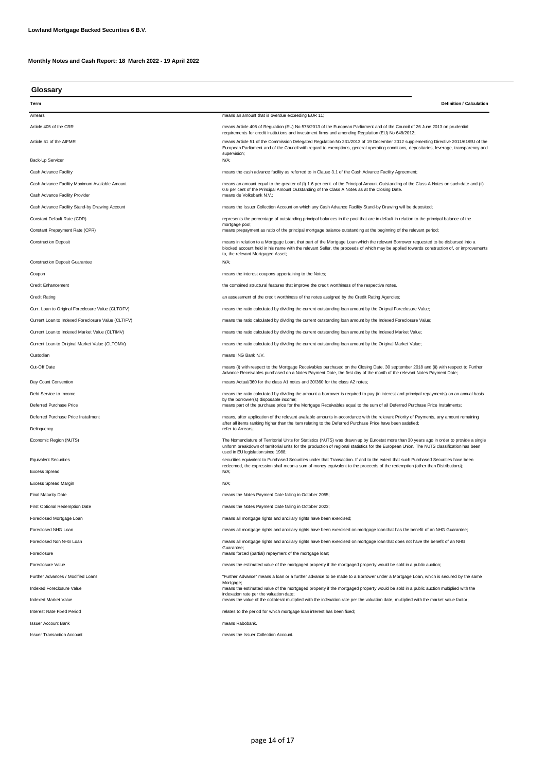**Glossary**

| Term                                               | <b>Definition / Calculation</b>                                                                                                                                                                                                                                                                                                                                                      |
|----------------------------------------------------|--------------------------------------------------------------------------------------------------------------------------------------------------------------------------------------------------------------------------------------------------------------------------------------------------------------------------------------------------------------------------------------|
| Arrears                                            | means an amount that is overdue exceeding EUR 11;                                                                                                                                                                                                                                                                                                                                    |
| Article 405 of the CRR                             | means Article 405 of Regulation (EU) No 575/2013 of the European Parliament and of the Council of 26 June 2013 on prudential                                                                                                                                                                                                                                                         |
| Article 51 of the AIFMR                            | requirements for credit institutions and investment firms and amending Regulation (EU) No 648/2012;<br>means Article 51 of the Commission Delegated Regulation No 231/2013 of 19 December 2012 supplementing Directive 2011/61/EU of the<br>European Parliament and of the Council with regard to exemptions, general operating conditions, depositaries, leverage, transparency and |
| Back-Up Servicer                                   | supervision;<br>N/A;                                                                                                                                                                                                                                                                                                                                                                 |
| Cash Advance Facility                              | means the cash advance facility as referred to in Clause 3.1 of the Cash Advance Facility Agreement;                                                                                                                                                                                                                                                                                 |
| Cash Advance Facility Maximum Available Amount     | means an amount equal to the greater of (i) 1.6 per cent. of the Principal Amount Outstanding of the Class A Notes on such date and (ii)                                                                                                                                                                                                                                             |
| Cash Advance Facility Provider                     | 0.6 per cent of the Principal Amount Outstanding of the Class A Notes as at the Closing Date.<br>means de Volksbank N.V.;                                                                                                                                                                                                                                                            |
| Cash Advance Facility Stand-by Drawing Account     | means the Issuer Collection Account on which any Cash Advance Facility Stand-by Drawing will be deposited;                                                                                                                                                                                                                                                                           |
| Constant Default Rate (CDR)                        | represents the percentage of outstanding principal balances in the pool that are in default in relation to the principal balance of the                                                                                                                                                                                                                                              |
| Constant Prepayment Rate (CPR)                     | mortgage pool;<br>means prepayment as ratio of the principal mortgage balance outstanding at the beginning of the relevant period;                                                                                                                                                                                                                                                   |
| <b>Construction Deposit</b>                        | means in relation to a Mortgage Loan, that part of the Mortgage Loan which the relevant Borrower requested to be disbursed into a<br>blocked account held in his name with the relevant Seller, the proceeds of which may be applied towards construction of, or improvements<br>to, the relevant Mortgaged Asset;                                                                   |
| <b>Construction Deposit Guarantee</b>              | N/A;                                                                                                                                                                                                                                                                                                                                                                                 |
| Coupon                                             | means the interest coupons appertaining to the Notes;                                                                                                                                                                                                                                                                                                                                |
| <b>Credit Enhancement</b>                          | the combined structural features that improve the credit worthiness of the respective notes.                                                                                                                                                                                                                                                                                         |
| <b>Credit Rating</b>                               | an assessment of the credit worthiness of the notes assigned by the Credit Rating Agencies;                                                                                                                                                                                                                                                                                          |
| Curr. Loan to Original Foreclosure Value (CLTOFV)  | means the ratio calculated by dividing the current outstanding loan amount by the Orignal Foreclosure Value;                                                                                                                                                                                                                                                                         |
| Current Loan to Indexed Foreclosure Value (CLTIFV) | means the ratio calculated by dividing the current outstanding loan amount by the Indexed Foreclosure Value;                                                                                                                                                                                                                                                                         |
| Current Loan to Indexed Market Value (CLTIMV)      | means the ratio calculated by dividing the current outstanding loan amount by the Indexed Market Value;                                                                                                                                                                                                                                                                              |
| Current Loan to Original Market Value (CLTOMV)     | means the ratio calculated by dividing the current outstanding loan amount by the Original Market Value;                                                                                                                                                                                                                                                                             |
| Custodian                                          | means ING Bank N.V.                                                                                                                                                                                                                                                                                                                                                                  |
| Cut-Off Date                                       | means (i) with respect to the Mortgage Receivables purchased on the Closing Date, 30 september 2018 and (ii) with respect to Further<br>Advance Receivables purchased on a Notes Payment Date, the first day of the month of the relevant Notes Payment Date;                                                                                                                        |
| Day Count Convention                               | means Actual/360 for the class A1 notes and 30/360 for the class A2 notes;                                                                                                                                                                                                                                                                                                           |
| Debt Service to Income                             | means the ratio calculated by dividing the amount a borrower is required to pay (in interest and principal repayments) on an annual basis                                                                                                                                                                                                                                            |
| Deferred Purchase Price                            | by the borrower(s) disposable income;<br>means part of the purchase price for the Mortgage Receivables equal to the sum of all Deferred Purchase Price Instalments;                                                                                                                                                                                                                  |
| Deferred Purchase Price Installment                | means, after application of the relevant available amounts in accordance with the relevant Priority of Payments, any amount remaining                                                                                                                                                                                                                                                |
| Delinquency                                        | after all items ranking higher than the item relating to the Deferred Purchase Price have been satisfied;<br>refer to Arrears;                                                                                                                                                                                                                                                       |
| Economic Region (NUTS)                             | The Nomenclature of Territorial Units for Statistics (NUTS) was drawn up by Eurostat more than 30 years ago in order to provide a single<br>uniform breakdown of territorial units for the production of regional statistics for the European Union. The NUTS classification has been                                                                                                |
| <b>Equivalent Securities</b>                       | used in EU legislation since 1988;<br>securities equivalent to Purchased Securities under that Transaction. If and to the extent that such Purchased Securities have been                                                                                                                                                                                                            |
| <b>Excess Spread</b>                               | redeemed, the expression shall mean a sum of money equivalent to the proceeds of the redemption (other than Distributions);<br>N/A;                                                                                                                                                                                                                                                  |
| <b>Excess Spread Margin</b>                        | N/A;                                                                                                                                                                                                                                                                                                                                                                                 |
| <b>Final Maturity Date</b>                         | means the Notes Payment Date falling in October 2055;                                                                                                                                                                                                                                                                                                                                |
| <b>First Optional Redemption Date</b>              | means the Notes Payment Date falling in October 2023;                                                                                                                                                                                                                                                                                                                                |
| Foreclosed Mortgage Loan                           | means all mortgage rights and ancillary rights have been exercised;                                                                                                                                                                                                                                                                                                                  |
| Foreclosed NHG Loan                                | means all mortgage rights and ancillary rights have been exercised on mortgage loan that has the benefit of an NHG Guarantee;                                                                                                                                                                                                                                                        |
| Foreclosed Non NHG Loan                            | means all mortgage rights and ancillary rights have been exercised on mortgage loan that does not have the benefit of an NHG                                                                                                                                                                                                                                                         |
| Foreclosure                                        | Guarantee;<br>means forced (partial) repayment of the mortgage loan;                                                                                                                                                                                                                                                                                                                 |
| Foreclosure Value                                  | means the estimated value of the mortgaged property if the mortgaged property would be sold in a public auction;                                                                                                                                                                                                                                                                     |
| Further Advances / Modified Loans                  | "Further Advance" means a loan or a further advance to be made to a Borrower under a Mortgage Loan, which is secured by the same                                                                                                                                                                                                                                                     |
| Indexed Foreclosure Value                          | Mortgage;<br>means the estimated value of the mortgaged property if the mortgaged property would be sold in a public auction multiplied with the                                                                                                                                                                                                                                     |
| Indexed Market Value                               | indexation rate per the valuation date;<br>means the value of the collateral multiplied with the indexation rate per the valuation date, multiplied with the market value factor;                                                                                                                                                                                                    |
| Interest Rate Fixed Period                         | relates to the period for which mortgage loan interest has been fixed;                                                                                                                                                                                                                                                                                                               |
| <b>Issuer Account Bank</b>                         | means Rabobank.                                                                                                                                                                                                                                                                                                                                                                      |
| <b>Issuer Transaction Account</b>                  | means the Issuer Collection Account.                                                                                                                                                                                                                                                                                                                                                 |
|                                                    |                                                                                                                                                                                                                                                                                                                                                                                      |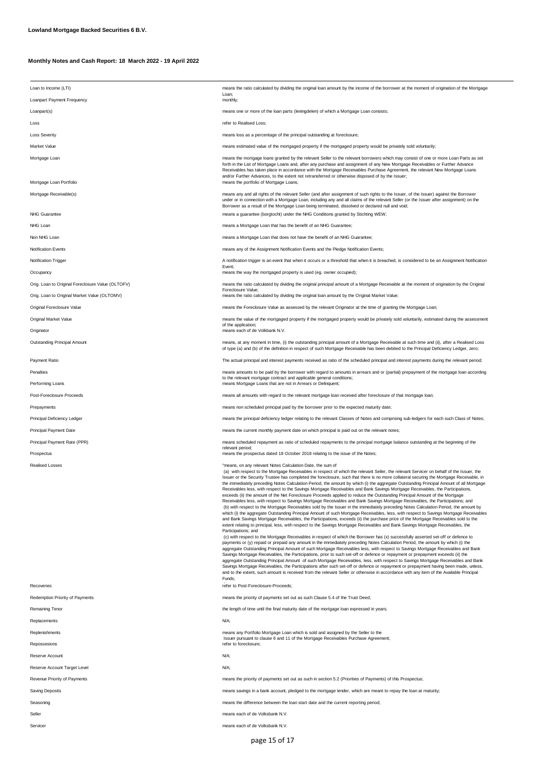| Loan to Income (LTI)                              | means the ratio calculated by dividing the original loan amount by the income of the borrower at the moment of origination of the Mortgage<br>Loan;                                                                                                                                                                                                                                                                                                                                                                                                                                                                                                                                                                                                                                                                                                                                                                                                                                                                                                                                                                                                                                                                                                                                                                                                                                                                                                                                                                                                                                                                                                                                                                                                                                                                                                                                                                                                                                                                                                                                                                                                                                                                                                                                                                                                                                                                                                        |
|---------------------------------------------------|------------------------------------------------------------------------------------------------------------------------------------------------------------------------------------------------------------------------------------------------------------------------------------------------------------------------------------------------------------------------------------------------------------------------------------------------------------------------------------------------------------------------------------------------------------------------------------------------------------------------------------------------------------------------------------------------------------------------------------------------------------------------------------------------------------------------------------------------------------------------------------------------------------------------------------------------------------------------------------------------------------------------------------------------------------------------------------------------------------------------------------------------------------------------------------------------------------------------------------------------------------------------------------------------------------------------------------------------------------------------------------------------------------------------------------------------------------------------------------------------------------------------------------------------------------------------------------------------------------------------------------------------------------------------------------------------------------------------------------------------------------------------------------------------------------------------------------------------------------------------------------------------------------------------------------------------------------------------------------------------------------------------------------------------------------------------------------------------------------------------------------------------------------------------------------------------------------------------------------------------------------------------------------------------------------------------------------------------------------------------------------------------------------------------------------------------------------|
| Loanpart Payment Frequency                        | monthly;                                                                                                                                                                                                                                                                                                                                                                                                                                                                                                                                                                                                                                                                                                                                                                                                                                                                                                                                                                                                                                                                                                                                                                                                                                                                                                                                                                                                                                                                                                                                                                                                                                                                                                                                                                                                                                                                                                                                                                                                                                                                                                                                                                                                                                                                                                                                                                                                                                                   |
| Loanpart(s)                                       | means one or more of the loan parts (leningdelen) of which a Mortgage Loan consists;                                                                                                                                                                                                                                                                                                                                                                                                                                                                                                                                                                                                                                                                                                                                                                                                                                                                                                                                                                                                                                                                                                                                                                                                                                                                                                                                                                                                                                                                                                                                                                                                                                                                                                                                                                                                                                                                                                                                                                                                                                                                                                                                                                                                                                                                                                                                                                       |
| Loss                                              | refer to Realised Loss:                                                                                                                                                                                                                                                                                                                                                                                                                                                                                                                                                                                                                                                                                                                                                                                                                                                                                                                                                                                                                                                                                                                                                                                                                                                                                                                                                                                                                                                                                                                                                                                                                                                                                                                                                                                                                                                                                                                                                                                                                                                                                                                                                                                                                                                                                                                                                                                                                                    |
| <b>Loss Severity</b>                              | means loss as a percentage of the principal outstanding at foreclosure;                                                                                                                                                                                                                                                                                                                                                                                                                                                                                                                                                                                                                                                                                                                                                                                                                                                                                                                                                                                                                                                                                                                                                                                                                                                                                                                                                                                                                                                                                                                                                                                                                                                                                                                                                                                                                                                                                                                                                                                                                                                                                                                                                                                                                                                                                                                                                                                    |
| Market Value                                      | means estimated value of the mortgaged property if the mortgaged property would be privately sold voluntarily;                                                                                                                                                                                                                                                                                                                                                                                                                                                                                                                                                                                                                                                                                                                                                                                                                                                                                                                                                                                                                                                                                                                                                                                                                                                                                                                                                                                                                                                                                                                                                                                                                                                                                                                                                                                                                                                                                                                                                                                                                                                                                                                                                                                                                                                                                                                                             |
| Mortgage Loan                                     | means the mortgage loans granted by the relevant Seller to the relevant borrowers which may consist of one or more Loan Parts as set<br>forth in the List of Mortgage Loans and, after any purchase and assignment of any New Mortgage Receivables or Further Advance<br>Receivables has taken place in accordance with the Mortgage Receivables Purchase Agreement, the relevant New Mortgage Loans<br>and/or Further Advances, to the extent not retransferred or otherwise disposed of by the Issuer;                                                                                                                                                                                                                                                                                                                                                                                                                                                                                                                                                                                                                                                                                                                                                                                                                                                                                                                                                                                                                                                                                                                                                                                                                                                                                                                                                                                                                                                                                                                                                                                                                                                                                                                                                                                                                                                                                                                                                   |
| Mortgage Loan Portfolio                           | means the portfolio of Mortgage Loans;                                                                                                                                                                                                                                                                                                                                                                                                                                                                                                                                                                                                                                                                                                                                                                                                                                                                                                                                                                                                                                                                                                                                                                                                                                                                                                                                                                                                                                                                                                                                                                                                                                                                                                                                                                                                                                                                                                                                                                                                                                                                                                                                                                                                                                                                                                                                                                                                                     |
| Mortgage Receivable(s)<br>NHG Guarantee           | means any and all rights of the relevant Seller (and after assignment of such rights to the Issuer, of the Issuer) against the Borrower<br>under or in connection with a Mortgage Loan, including any and all claims of the relevant Seller (or the Issuer after assignment) on the<br>Borrower as a result of the Mortgage Loan being terminated, dissolved or declared null and void;<br>means a guarantee (borgtocht) under the NHG Conditions granted by Stichting WEW;                                                                                                                                                                                                                                                                                                                                                                                                                                                                                                                                                                                                                                                                                                                                                                                                                                                                                                                                                                                                                                                                                                                                                                                                                                                                                                                                                                                                                                                                                                                                                                                                                                                                                                                                                                                                                                                                                                                                                                                |
| NHG Loan                                          | means a Mortgage Loan that has the benefit of an NHG Guarantee;                                                                                                                                                                                                                                                                                                                                                                                                                                                                                                                                                                                                                                                                                                                                                                                                                                                                                                                                                                                                                                                                                                                                                                                                                                                                                                                                                                                                                                                                                                                                                                                                                                                                                                                                                                                                                                                                                                                                                                                                                                                                                                                                                                                                                                                                                                                                                                                            |
| Non NHG Loan                                      | means a Mortgage Loan that does not have the benefit of an NHG Guarantee;                                                                                                                                                                                                                                                                                                                                                                                                                                                                                                                                                                                                                                                                                                                                                                                                                                                                                                                                                                                                                                                                                                                                                                                                                                                                                                                                                                                                                                                                                                                                                                                                                                                                                                                                                                                                                                                                                                                                                                                                                                                                                                                                                                                                                                                                                                                                                                                  |
| <b>Notification Events</b>                        | means any of the Assignment Notification Events and the Pledge Notification Events;                                                                                                                                                                                                                                                                                                                                                                                                                                                                                                                                                                                                                                                                                                                                                                                                                                                                                                                                                                                                                                                                                                                                                                                                                                                                                                                                                                                                                                                                                                                                                                                                                                                                                                                                                                                                                                                                                                                                                                                                                                                                                                                                                                                                                                                                                                                                                                        |
| <b>Notification Trigger</b>                       | A notification trigger is an event that when it occurs or a threshold that when it is breached, is considered to be an Assignment Notification                                                                                                                                                                                                                                                                                                                                                                                                                                                                                                                                                                                                                                                                                                                                                                                                                                                                                                                                                                                                                                                                                                                                                                                                                                                                                                                                                                                                                                                                                                                                                                                                                                                                                                                                                                                                                                                                                                                                                                                                                                                                                                                                                                                                                                                                                                             |
| Occupancy                                         | Event;<br>means the way the mortgaged property is used (eg. owner occupied);                                                                                                                                                                                                                                                                                                                                                                                                                                                                                                                                                                                                                                                                                                                                                                                                                                                                                                                                                                                                                                                                                                                                                                                                                                                                                                                                                                                                                                                                                                                                                                                                                                                                                                                                                                                                                                                                                                                                                                                                                                                                                                                                                                                                                                                                                                                                                                               |
| Orig. Loan to Original Foreclosure Value (OLTOFV) | means the ratio calculated by dividing the original principal amount of a Mortgage Receivable at the moment of origination by the Original                                                                                                                                                                                                                                                                                                                                                                                                                                                                                                                                                                                                                                                                                                                                                                                                                                                                                                                                                                                                                                                                                                                                                                                                                                                                                                                                                                                                                                                                                                                                                                                                                                                                                                                                                                                                                                                                                                                                                                                                                                                                                                                                                                                                                                                                                                                 |
| Orig. Loan to Original Market Value (OLTOMV)      | Foreclosure Value;<br>means the ratio calculated by dividing the original loan amount by the Original Market Value;                                                                                                                                                                                                                                                                                                                                                                                                                                                                                                                                                                                                                                                                                                                                                                                                                                                                                                                                                                                                                                                                                                                                                                                                                                                                                                                                                                                                                                                                                                                                                                                                                                                                                                                                                                                                                                                                                                                                                                                                                                                                                                                                                                                                                                                                                                                                        |
| Original Foreclosure Value                        | means the Foreclosure Value as assessed by the relevant Originator at the time of granting the Mortgage Loan;                                                                                                                                                                                                                                                                                                                                                                                                                                                                                                                                                                                                                                                                                                                                                                                                                                                                                                                                                                                                                                                                                                                                                                                                                                                                                                                                                                                                                                                                                                                                                                                                                                                                                                                                                                                                                                                                                                                                                                                                                                                                                                                                                                                                                                                                                                                                              |
| Original Market Value                             | means the value of the mortgaged property if the mortgaged property would be privately sold voluntarily, estimated during the assessment                                                                                                                                                                                                                                                                                                                                                                                                                                                                                                                                                                                                                                                                                                                                                                                                                                                                                                                                                                                                                                                                                                                                                                                                                                                                                                                                                                                                                                                                                                                                                                                                                                                                                                                                                                                                                                                                                                                                                                                                                                                                                                                                                                                                                                                                                                                   |
| Originator                                        | of the application;<br>means each of de Volkbank N.V.                                                                                                                                                                                                                                                                                                                                                                                                                                                                                                                                                                                                                                                                                                                                                                                                                                                                                                                                                                                                                                                                                                                                                                                                                                                                                                                                                                                                                                                                                                                                                                                                                                                                                                                                                                                                                                                                                                                                                                                                                                                                                                                                                                                                                                                                                                                                                                                                      |
| Outstanding Principal Amount                      | means, at any moment in time, (i) the outstanding principal amount of a Mortgage Receivable at such time and (ii), after a Realised Loss<br>of type (a) and (b) of the definition in respect of such Mortgage Receivable has been debited to the Principal Deficiency Ledger, zero;                                                                                                                                                                                                                                                                                                                                                                                                                                                                                                                                                                                                                                                                                                                                                                                                                                                                                                                                                                                                                                                                                                                                                                                                                                                                                                                                                                                                                                                                                                                                                                                                                                                                                                                                                                                                                                                                                                                                                                                                                                                                                                                                                                        |
| Payment Ratio                                     | The actual principal and interest payments received as ratio of the scheduled principal and interest payments during the relevant period;                                                                                                                                                                                                                                                                                                                                                                                                                                                                                                                                                                                                                                                                                                                                                                                                                                                                                                                                                                                                                                                                                                                                                                                                                                                                                                                                                                                                                                                                                                                                                                                                                                                                                                                                                                                                                                                                                                                                                                                                                                                                                                                                                                                                                                                                                                                  |
| Penalties                                         | means amounts to be paid by the borrower with regard to amounts in arrears and or (partial) prepayment of the mortgage loan according                                                                                                                                                                                                                                                                                                                                                                                                                                                                                                                                                                                                                                                                                                                                                                                                                                                                                                                                                                                                                                                                                                                                                                                                                                                                                                                                                                                                                                                                                                                                                                                                                                                                                                                                                                                                                                                                                                                                                                                                                                                                                                                                                                                                                                                                                                                      |
| Performing Loans                                  | to the relevant mortgage contract and applicable general conditions;<br>means Mortgage Loans that are not in Arrears or Delinquent;                                                                                                                                                                                                                                                                                                                                                                                                                                                                                                                                                                                                                                                                                                                                                                                                                                                                                                                                                                                                                                                                                                                                                                                                                                                                                                                                                                                                                                                                                                                                                                                                                                                                                                                                                                                                                                                                                                                                                                                                                                                                                                                                                                                                                                                                                                                        |
| Post-Foreclosure Proceeds                         | means all amounts with regard to the relevant mortgage loan received after foreclosure of that mortgage loan;                                                                                                                                                                                                                                                                                                                                                                                                                                                                                                                                                                                                                                                                                                                                                                                                                                                                                                                                                                                                                                                                                                                                                                                                                                                                                                                                                                                                                                                                                                                                                                                                                                                                                                                                                                                                                                                                                                                                                                                                                                                                                                                                                                                                                                                                                                                                              |
| Prepayments                                       | means non scheduled principal paid by the borrower prior to the expected maturity date;                                                                                                                                                                                                                                                                                                                                                                                                                                                                                                                                                                                                                                                                                                                                                                                                                                                                                                                                                                                                                                                                                                                                                                                                                                                                                                                                                                                                                                                                                                                                                                                                                                                                                                                                                                                                                                                                                                                                                                                                                                                                                                                                                                                                                                                                                                                                                                    |
| Principal Deficiency Ledger                       | means the principal deficiency ledger relating to the relevant Classes of Notes and comprising sub-ledgers for each such Class of Notes;                                                                                                                                                                                                                                                                                                                                                                                                                                                                                                                                                                                                                                                                                                                                                                                                                                                                                                                                                                                                                                                                                                                                                                                                                                                                                                                                                                                                                                                                                                                                                                                                                                                                                                                                                                                                                                                                                                                                                                                                                                                                                                                                                                                                                                                                                                                   |
| <b>Principal Payment Date</b>                     | means the current monthly payment date on which principal is paid out on the relevant notes;                                                                                                                                                                                                                                                                                                                                                                                                                                                                                                                                                                                                                                                                                                                                                                                                                                                                                                                                                                                                                                                                                                                                                                                                                                                                                                                                                                                                                                                                                                                                                                                                                                                                                                                                                                                                                                                                                                                                                                                                                                                                                                                                                                                                                                                                                                                                                               |
| Principal Payment Rate (PPR)                      | means scheduled repayment as ratio of scheduled repayments to the principal mortgage balance outstanding at the beginning of the                                                                                                                                                                                                                                                                                                                                                                                                                                                                                                                                                                                                                                                                                                                                                                                                                                                                                                                                                                                                                                                                                                                                                                                                                                                                                                                                                                                                                                                                                                                                                                                                                                                                                                                                                                                                                                                                                                                                                                                                                                                                                                                                                                                                                                                                                                                           |
| Prospectus                                        | relevant period;<br>means the prospectus dated 18 October 2018 relating to the issue of the Notes;                                                                                                                                                                                                                                                                                                                                                                                                                                                                                                                                                                                                                                                                                                                                                                                                                                                                                                                                                                                                                                                                                                                                                                                                                                                                                                                                                                                                                                                                                                                                                                                                                                                                                                                                                                                                                                                                                                                                                                                                                                                                                                                                                                                                                                                                                                                                                         |
| <b>Realised Losses</b>                            | "means, on any relevant Notes Calculation Date, the sum of<br>(a) with respect to the Mortgage Receivables in respect of which the relevant Seller, the relevant Servicer on behalf of the Issuer, the<br>Issuer or the Security Trustee has completed the foreclosure, such that there is no more collateral securing the Mortgage Receivable, in<br>the immediately preceding Notes Calculation Period, the amount by which (i) the aggregate Outstanding Principal Amount of all Mortgage<br>Receivables less, with respect to the Savings Mortgage Receivables and Bank Savings Mortgage Receivables, the Participations,<br>exceeds (ii) the amount of the Net Foreclosure Proceeds applied to reduce the Outstanding Principal Amount of the Mortgage<br>Receivables less, with respect to Savings Mortgage Receivables and Bank Savings Mortgage Receivables, the Participations; and<br>(b) with respect to the Mortgage Receivables sold by the Issuer in the immediately preceding Notes Calculation Period, the amount by<br>which (i) the aggregate Outstanding Principal Amount of such Mortgage Receivables, less, with respect to Savings Mortgage Receivables<br>and Bank Savings Mortgage Receivables, the Participations, exceeds (ii) the purchase price of the Mortgage Receivables sold to the<br>extent relating to principal, less, with respect to the Savings Mortgage Receivables and Bank Savings Mortgage Receivables, the<br>Participations; and<br>(c) with respect to the Mortgage Receivables in respect of which the Borrower has (x) successfully asserted set-off or defence to<br>payments or (y) repaid or prepaid any amount in the immediately preceding Notes Calculation Period, the amount by which (i) the<br>aggregate Outstanding Principal Amount of such Mortgage Receivables less, with respect to Savings Mortgage Receivables and Bank<br>Savings Mortgage Receivables, the Participations, prior to such set-off or defence or repayment or prepayment exceeds (ii) the<br>aggregate Outstanding Principal Amount of such Mortgage Receivables, less, with respect to Savings Mortgage Receivables and Bank<br>Savings Mortgage Receivables, the Participations after such set-off or defence or repayment or prepayment having been made, unless,<br>and to the extent, such amount is received from the relevant Seller or otherwise in accordance with any item of the Available Principal<br>Funds; |
| Recoveries                                        | refer to Post-Foreclosure-Proceeds;                                                                                                                                                                                                                                                                                                                                                                                                                                                                                                                                                                                                                                                                                                                                                                                                                                                                                                                                                                                                                                                                                                                                                                                                                                                                                                                                                                                                                                                                                                                                                                                                                                                                                                                                                                                                                                                                                                                                                                                                                                                                                                                                                                                                                                                                                                                                                                                                                        |
| Redemption Priority of Payments                   | means the priority of payments set out as such Clause 5.4 of the Trust Deed;                                                                                                                                                                                                                                                                                                                                                                                                                                                                                                                                                                                                                                                                                                                                                                                                                                                                                                                                                                                                                                                                                                                                                                                                                                                                                                                                                                                                                                                                                                                                                                                                                                                                                                                                                                                                                                                                                                                                                                                                                                                                                                                                                                                                                                                                                                                                                                               |
| <b>Remaining Tenor</b>                            | the length of time until the final maturity date of the mortgage loan expressed in years;                                                                                                                                                                                                                                                                                                                                                                                                                                                                                                                                                                                                                                                                                                                                                                                                                                                                                                                                                                                                                                                                                                                                                                                                                                                                                                                                                                                                                                                                                                                                                                                                                                                                                                                                                                                                                                                                                                                                                                                                                                                                                                                                                                                                                                                                                                                                                                  |
| Replacements                                      | N/A;                                                                                                                                                                                                                                                                                                                                                                                                                                                                                                                                                                                                                                                                                                                                                                                                                                                                                                                                                                                                                                                                                                                                                                                                                                                                                                                                                                                                                                                                                                                                                                                                                                                                                                                                                                                                                                                                                                                                                                                                                                                                                                                                                                                                                                                                                                                                                                                                                                                       |
| Replenishments                                    | means any Portfolio Mortgage Loan which is sold and assigned by the Seller to the<br>Issuer pursuant to clause 6 and 11 of the Mortgage Receivables Purchase Agreement;                                                                                                                                                                                                                                                                                                                                                                                                                                                                                                                                                                                                                                                                                                                                                                                                                                                                                                                                                                                                                                                                                                                                                                                                                                                                                                                                                                                                                                                                                                                                                                                                                                                                                                                                                                                                                                                                                                                                                                                                                                                                                                                                                                                                                                                                                    |
| Repossesions                                      | refer to foreclosure;                                                                                                                                                                                                                                                                                                                                                                                                                                                                                                                                                                                                                                                                                                                                                                                                                                                                                                                                                                                                                                                                                                                                                                                                                                                                                                                                                                                                                                                                                                                                                                                                                                                                                                                                                                                                                                                                                                                                                                                                                                                                                                                                                                                                                                                                                                                                                                                                                                      |
| Reserve Account                                   | N/A;                                                                                                                                                                                                                                                                                                                                                                                                                                                                                                                                                                                                                                                                                                                                                                                                                                                                                                                                                                                                                                                                                                                                                                                                                                                                                                                                                                                                                                                                                                                                                                                                                                                                                                                                                                                                                                                                                                                                                                                                                                                                                                                                                                                                                                                                                                                                                                                                                                                       |
| Reserve Account Target Level                      | N/A;                                                                                                                                                                                                                                                                                                                                                                                                                                                                                                                                                                                                                                                                                                                                                                                                                                                                                                                                                                                                                                                                                                                                                                                                                                                                                                                                                                                                                                                                                                                                                                                                                                                                                                                                                                                                                                                                                                                                                                                                                                                                                                                                                                                                                                                                                                                                                                                                                                                       |
| Revenue Priority of Payments                      | means the priority of payments set out as such in section 5.2 (Priorities of Payments) of this Prospectus;                                                                                                                                                                                                                                                                                                                                                                                                                                                                                                                                                                                                                                                                                                                                                                                                                                                                                                                                                                                                                                                                                                                                                                                                                                                                                                                                                                                                                                                                                                                                                                                                                                                                                                                                                                                                                                                                                                                                                                                                                                                                                                                                                                                                                                                                                                                                                 |
| Saving Deposits                                   | means savings in a bank account, pledged to the mortgage lender, which are meant to repay the loan at maturity;                                                                                                                                                                                                                                                                                                                                                                                                                                                                                                                                                                                                                                                                                                                                                                                                                                                                                                                                                                                                                                                                                                                                                                                                                                                                                                                                                                                                                                                                                                                                                                                                                                                                                                                                                                                                                                                                                                                                                                                                                                                                                                                                                                                                                                                                                                                                            |
| Seasoning                                         | means the difference between the loan start date and the current reporting period;                                                                                                                                                                                                                                                                                                                                                                                                                                                                                                                                                                                                                                                                                                                                                                                                                                                                                                                                                                                                                                                                                                                                                                                                                                                                                                                                                                                                                                                                                                                                                                                                                                                                                                                                                                                                                                                                                                                                                                                                                                                                                                                                                                                                                                                                                                                                                                         |
| Seller                                            | means each of de Volksbank N.V.                                                                                                                                                                                                                                                                                                                                                                                                                                                                                                                                                                                                                                                                                                                                                                                                                                                                                                                                                                                                                                                                                                                                                                                                                                                                                                                                                                                                                                                                                                                                                                                                                                                                                                                                                                                                                                                                                                                                                                                                                                                                                                                                                                                                                                                                                                                                                                                                                            |
| Servicer                                          | means each of de Volksbank N.V.                                                                                                                                                                                                                                                                                                                                                                                                                                                                                                                                                                                                                                                                                                                                                                                                                                                                                                                                                                                                                                                                                                                                                                                                                                                                                                                                                                                                                                                                                                                                                                                                                                                                                                                                                                                                                                                                                                                                                                                                                                                                                                                                                                                                                                                                                                                                                                                                                            |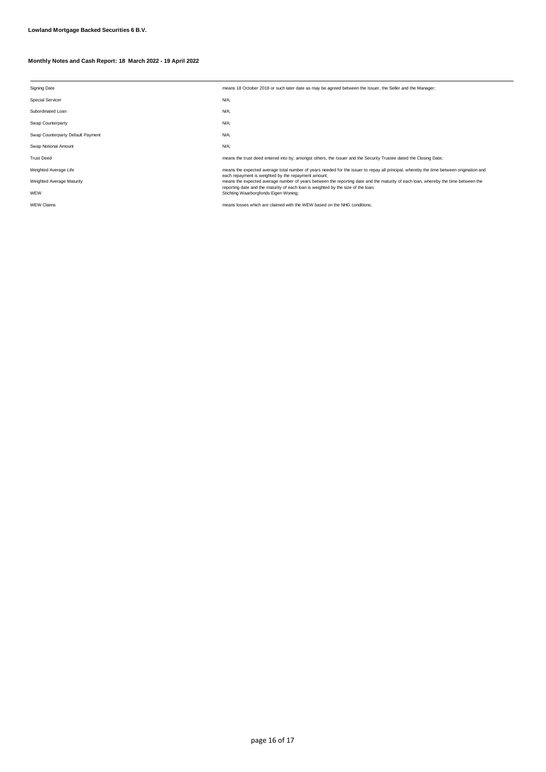| <b>Signing Date</b>               | means 18 October 2018 or such later date as may be agreed between the Issuer, the Seller and the Manager;                                                                                |
|-----------------------------------|------------------------------------------------------------------------------------------------------------------------------------------------------------------------------------------|
| <b>Special Servicer</b>           | N/A;                                                                                                                                                                                     |
| Subordinated Loan                 | N/A;                                                                                                                                                                                     |
| Swap Counterparty                 | N/A;                                                                                                                                                                                     |
| Swap Counterparty Default Payment | N/A;                                                                                                                                                                                     |
| Swap Notional Amount              | N/A;                                                                                                                                                                                     |
| <b>Trust Deed</b>                 | means the trust deed entered into by, amongst others, the Issuer and the Security Trustee dated the Closing Date;                                                                        |
| Weighted Average Life             | means the expected average total number of years needed for the issuer to repay all principal, whereby the time between origination and                                                  |
| Weighted Average Maturity         | each repayment is weighted by the repayment amount;<br>means the expected average number of years between the reporting date and the maturity of each loan, whereby the time between the |
| WEW                               | reporting date and the maturity of each loan is weighted by the size of the loan;<br>Stichting Waarborgfonds Eigen Woning;                                                               |
| <b>WEW Claims</b>                 | means losses which are claimed with the WEW based on the NHG conditions;                                                                                                                 |